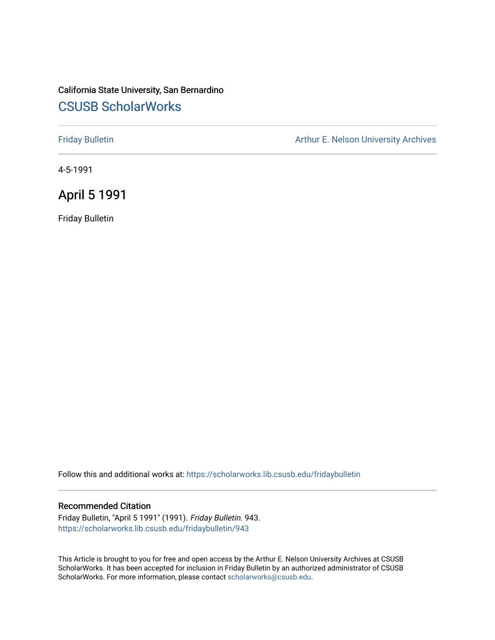## California State University, San Bernardino [CSUSB ScholarWorks](https://scholarworks.lib.csusb.edu/)

[Friday Bulletin](https://scholarworks.lib.csusb.edu/fridaybulletin) **Arthur E. Nelson University Archives** Arthur E. Nelson University Archives

4-5-1991

April 5 1991

Friday Bulletin

Follow this and additional works at: [https://scholarworks.lib.csusb.edu/fridaybulletin](https://scholarworks.lib.csusb.edu/fridaybulletin?utm_source=scholarworks.lib.csusb.edu%2Ffridaybulletin%2F943&utm_medium=PDF&utm_campaign=PDFCoverPages)

### Recommended Citation

Friday Bulletin, "April 5 1991" (1991). Friday Bulletin. 943. [https://scholarworks.lib.csusb.edu/fridaybulletin/943](https://scholarworks.lib.csusb.edu/fridaybulletin/943?utm_source=scholarworks.lib.csusb.edu%2Ffridaybulletin%2F943&utm_medium=PDF&utm_campaign=PDFCoverPages)

This Article is brought to you for free and open access by the Arthur E. Nelson University Archives at CSUSB ScholarWorks. It has been accepted for inclusion in Friday Bulletin by an authorized administrator of CSUSB ScholarWorks. For more information, please contact [scholarworks@csusb.edu.](mailto:scholarworks@csusb.edu)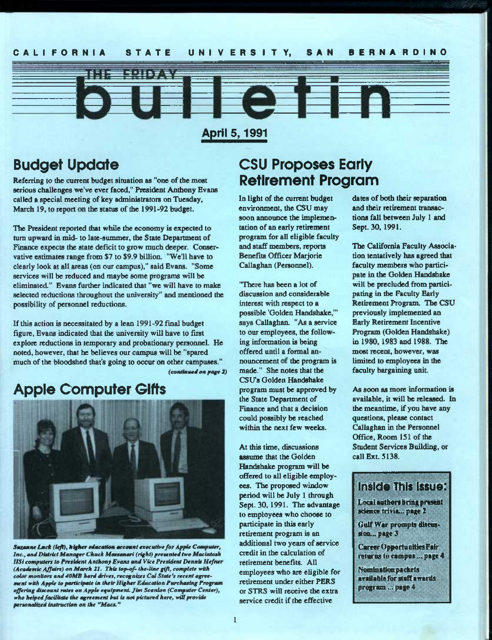## CALIFORNIA STATE UNIVERSITY, SAN BERNARDINO



Agril^ **1991** 

# Budget Update

Referring to the current budget situation as "one of the most serious challenges we've ever faced," President Anthony Evans called a special meeting of key administrators on Tuesday, March 19, to report on the status of the 1991-92 budget.

The President reported that while the economy is expected to tum upward in mid- to late-summer, the State Department of Finance expects the state deficit to grow much deeper. Conservative estimates range from \$7 to \$9.9 billion. "We'll have to clearly look at all areas (on our campus)," said Evans. "Some services will be reduced and maybe some programs will be eliminated." Evans further indicated that "we will have to make selected reductions throughout the university" and mentioned the possibility of personnel reductions.

If this action is necessitated by a lean 1991-92 final budget figure, Evans indicated that the university will have to first explore reductions in temporary and probationary personnel. He noted, however, that he believes our campus will be "spared much of the bloodshed that's going to occur on other campuses." *(eoHtitiU44l OH page 2)* 

# Apple Computer Gifts



**Suzanne Lack (left), higher education account executive for Apple Computer,** Inc., and District Manager Chuck Massanari (right) presented two Macintosh *IISi computers to President Anthony Evans and Vice President Dennis Hefner (Academic Affairs) on March 21. This iop^f- the-line g(fi, complete with*  color monitors and 40MB hard drives, recognizes Cal State's recent agreement with Apple to participate in their Higher Education Purchasing Program *offering discount rates on Apple equipment Jim Scanion (Computer Center), who helped facilitate the agreement hut is not pictured here, will provide*  personalized instruction on the "Macs."

# CSU Proposes Early Retirement Program

In light of the current budget environment, the CSU may soon announce the implementation of an early retirement program for all eligible faculty and staff members, reports Beneffts Officer Marjorie Callaghan (Personnel).

"There has been a lot of discussion and considerable interest with respect to a possible 'Golden Handshake,"' says Callaghan. "As a service to our employees, the following information is being offered until a formal announcement of the program is made." She notes that the CSUs Golden Handshake program must be approved by the State Department of Finance and that a decision could possibly be reached within the next few weeks.

At this time, discussions assume that the Golden Handshake program will be offered to all eligible employees. The proposed window period will be July 1 through Sept. 30,1991. The advantage to employees who choose to participate in this early retirement program is an additional two years of service credit in the calculation of retirement benefits. All employees who are eligible for retirement under either PERS or STRS will receive the extra service credit if the effective

dates of both their separation and their retirement transactions fall between July 1 and Sept. 30,1991.

The California Faculty Association tentatively has agreed that faculty members who participate in the Golden Handshake will be precluded from participating in the Faculty Early Retirement Program. The CSU previously implemented an Early Retirement Incentive Program (Golden Handshake) in 1980,1983 and 1988. The most recent, however, was limited to employees in the faculty bargaining unit.

As soon as more information is available, it will be released. In the meantime, if you have any questions, please contact Callaghan in the Personnel Office, Room 151 of the Student Services Building, or call Ext. 5138.

## Inside This Issue:

**Local suthors bring present .science trivia... page 2** 

Gulf War prompts discus**linn... page }** 

**Career (tppertuntties Fair reiuriu lo campus... page 4** 

**Nomination packets arailable for staff awards program... page 4**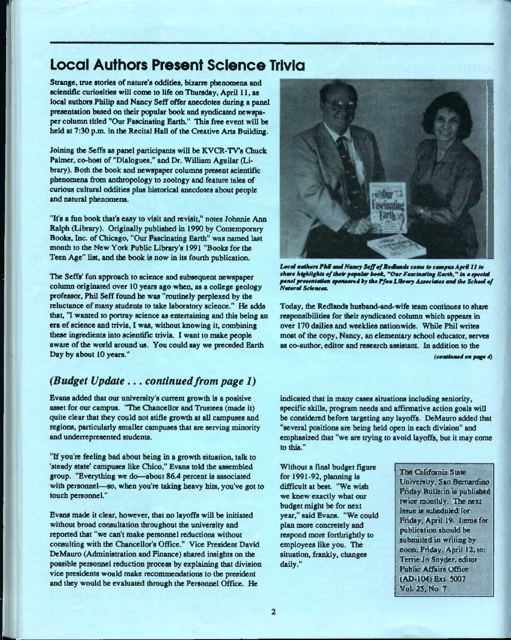# Local Authors Present Science Trivia

Strange, true stories of nature's oddities, bizarre phenomena and scientific curiosities will come to life on Thursday, April 11, as local authors Philip and Nancy Seff offer anecdotes during a panel presentation based on their popular book and syndicated newspaper column titled "Our Fascinating Earth." This free event will be held at 7:30 p.m. in the Recital Hall of the Creative Arts Building.

Joining the SefFs as panel participants will be KVCR-TVs Chuck Palmer, co-host of "Dialogues," and Dr. William Aguilar (Library). Both the book and newspaper columns present scientific phenomena from anthropology to zoology and feature tales of curious cultural oddities plus historical anecdotes about people and natural phenomena.

"It's a fun book that's easy to visit and revisit," notes Johnnie Ann Ralph (Library). Originally published in 1990 by Contemporary Books, Inc. of Chicago, "Our Fascinating Earth" was named last month to the New York Public Library's 1991 "Books for the Teen Age" list, and the bode is now in its fourth publication.

The Seffs' fun approach to science and subsequent newspaper column originated over 10 years ago when, as a college geology professor, Phil Seff found he was "routinely perplexed by the reluctance of many students to take laboratory science." He adds that, 'T wanted to portray science as entertaining and this being an era of science and trivia, I was, without knowing it, combining these ingredients into scientific trivia. I want to make people aware of the world around us. You could say we preceded Earth Day by about 10 years."

## *(Budget Update ... continued from page 1)*

Evans added that our university's current growth is a positive asset for our campus. "The Chancellor and Trustees (made it) quite clear that they could not stifle growth at all campuses and regions, particularly smaller campuses that are serving minority and underrepresented students.

"If you're feeling bad about being in a growth situation, talk to 'steady state' campuses like Chico," Evans told the assembled group. "Everything we do—about 86.4 percent is associated with personnel—so, when you're taking heavy hits, you've got to touch personnel."

Evans made it clear, however, that no layoffs will be initiated without broad consultation throughout the university and reported that "we can't make personnel reductions without consulting with the Chancellor's Office." Vice President David DeMauro (Administration and Finance) shared insights on the possible personnel reduction process by explaining that division vice presidents would make recommendations to the president and they would be evaluated through the Personnel Office. He



Local authors FkM and Nancy Soff of Redlands come to campus April 11 to *MhmrchtgkU^ttcf^oirfopmtmrtook, "OmrFrnMctootiogBmrA," to mtpcckd pamd prtccnimtiom tfooMorcd by Ac Ffitm LUrmry Attoeimlct mod Iko School of NmtormI Sdcoccm.* 

Today, the Redlands husband-and-wife team continues to share responsibilities for their syndicated column which appears in over 170 dailies and weeklies nationwide. While Phil writes most of the copy, Nancy, an elementary school educator, serves as co-author, editor and research assistant. In addition to the

*(cootiomcd oo pmg\* 4)* 

indicated that in many cases situations including seniority, specific skills, program needs and affirmative action goals will be considered before targeting any layoffs. DeMauro added that "several positions are being held open in each division" and emphasized that "we are trying to avoid layoffs, but it may come to this."

Without a final budget figure *for* 1991-92, planning is difficult at best. "We wish we knew exactly what our budget might be for next year," said Evans. "We could plan more concretely and respond more forthrightly to employees like you. The situation, frankly, changes daily."

The Chlifornia State Vniver^iiy, San Bernardino: Friday Bulletin *is* pubii&hcd twice monthly. The next issue is scheduled for Pnday, April 19 items for publication should be subnuited in writing by noon. Fnday. April 12, to: Terrie Jo Snyder, editor Public Affairs Office (An-io4}£xi *ami*  Vol 25. No 7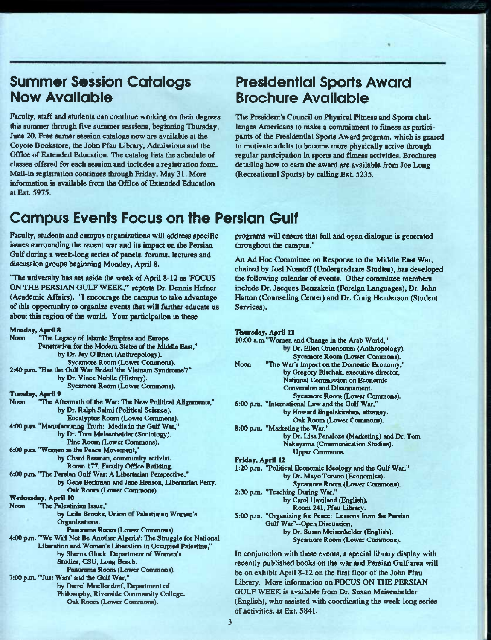# Summer Session Catalogs Now Available

Faculty, staff and students can continue working on their degrees this summer through five summer sessions, beginning Thursday, June 20. Free sumer session catalogs now are available at die Coyote Bookstore, the John Pfau Library, Admissions and the Office of Extended Education. The catalog lists the schedule of classes offered for each session and includes a registration form. Mail-in registration continues dirough Friday, May 31. More informaticm is available from the Office of Extended Education at ExL 5975.

# Presidential Sports Award Brochure Available

The President's Council on Physical Fitness and Sports challenges Americans to make a commitment to fitness as participants of the Presidential Sports Award program, which is geared to motivate adults to become more physically active through regular participation in sports and fitness activities. Brochures detailing how to earn the award are available from Joe Long (Recreational Sports) by calling Ext. 5235.

# Campus Events Focus on the Persian Gulf

Faculty, students and campus organizations will address specific issues surrounding the recent war and its impact on the Persian Gulf during a week-long series of panels, forums, lectures and discussion groups beginning Monday, April 8.

"The university has set aside the week of April 8-12 as 'FOCUS ON THE PERSIAN GULF WEEK,"\* reports Dr. Dennis Hefner (Academic Affairs). 'T encourage the campus to take advantage of this opportunity to organize events that will further educate us about this region of the world. Your participation in these

| Monday, April 8                                                       |   |
|-----------------------------------------------------------------------|---|
| <b>Noon</b><br>"The Legacy of Islamic Empires and Europe              |   |
| Penetration for the Modern States of the Middle East,"                |   |
| by Dr. Jay O'Brien (Anthropology).                                    |   |
| Sycamore Room (Lower Commons).                                        | I |
| 2:40 p.m. "Has the Gulf War Ended 'the Vietnam Syndrome'?"            |   |
| by Dr. Vince Nobile (History).                                        |   |
| Sycamore Room (Lower Commons).                                        |   |
| <b>Tuesday, April 9</b>                                               |   |
| "The Aftermath of the War: The New Political Alignments,"<br>Noon     | ſ |
| by Dr. Ralph Salmi (Political Science).                               |   |
| Eucalyptus Room (Lower Commons).                                      |   |
| 4:00 p.m. "Manufacturing Truth: Media in the Gulf War,"               | ٤ |
| by Dr. Tom Meisenhelder (Sociology).                                  |   |
| Pine Room (Lower Commons).                                            |   |
| 6:00 p.m. "Women in the Peace Movement,"                              |   |
| by Chani Beeman, community activist.                                  |   |
| Room 177, Faculty Office Building.                                    |   |
| 6:00 p.m. "The Persian Gulf War: A Libertarian Perspective,"          |   |
| by Gene Berkman and Jane Henson, Libertarian Party.                   |   |
| Oak Room (Lower Commons).                                             | ۶ |
| Wednesday, April 10                                                   |   |
| "The Palestinian Issue."<br><b>Noon</b>                               |   |
| by Leila Brooks, Union of Palestinian Women's                         |   |
| Organizations.                                                        |   |
| Panorama Room (Lower Commons).                                        |   |
| 4:00 p.m. "We Will Not Be Another Algeria': The Struggle for National |   |
| Liberation and Women's Liberation in Occupied Palestine,"             |   |
| by Sherna Gluck, Department of Women's                                |   |
| Studies, CSU, Long Beach.                                             | Ī |
| Panorama Room (Lower Commons).                                        | t |
| 7:00 p.m. "'Just Wars' and the Gulf War,"                             | Ι |
| by Darrel Moellendorf, Department of                                  |   |
| Philosophy, Riverside Community College.                              |   |
| Oak Room (Lower Commons).                                             |   |
|                                                                       |   |

programs will ensure that full and open dialogue is generated throughout the campus."

An Ad Hoc Committee on Response to the Middle East War, chaired by Joel Nossoff (Undergraduate Studies), has developed the following calendar of events. Other committee members include Dr. Jacques Benzakein (Foreign Languages), Dr. John Hatton (Counseling Center) and Dr. Craig Henderson (Student Services).

| Thursday, April 11 |  |
|--------------------|--|
|--------------------|--|

| 10:00 a.m."Women and Change in the Arab World,"                  |
|------------------------------------------------------------------|
| by Dr. Ellen Gruenbaum (Anthropology).                           |
| Sycamore Room (Lower Commons).                                   |
| "The War's Impact on the Domestic Economy,"<br>Noon              |
| by Gregory Bischak, executive director,                          |
| National Commission on Economic                                  |
| Conversion and Disarmament.                                      |
| Sycamore Room (Lower Commons).                                   |
| 6:00 p.m. "International Law and the Gulf War,"                  |
| by Howard Engelskirshen, attorney.                               |
| Oak Room (Lower Commons).                                        |
| 8:00 p.m. "Marketing the War,"                                   |
| by Dr. Lisa Penaloza (Marketing) and Dr. Tom                     |
| Nakayama (Communication Studies).                                |
| <b>Upper Commons.</b>                                            |
| Friday, April 12                                                 |
| 1:20 p.m. "Political Economic Ideology and the Gulf War,"        |
| by Dr. Mayo Toruno (Economics).                                  |
| Sycamore Room (Lower Commons).                                   |
| 2:30 p.m. "Teaching During War,"                                 |
| by Carol Haviland (English).                                     |
| Room 241, Pfau Library.                                          |
| 5:00 p.m. "Organizing for Peace: Lessons from the Persian        |
| Gulf War"-Open Discussion,                                       |
| by Dr. Susan Meisenhelder (English).                             |
| Sycamore Room (Lower Commons).                                   |
| In conjunction with these events, a special library display with |
| recently published books on the war and Persian Gulf area will   |

recently published books on the war and Persian Gulf area will be on exhibit April 8-12 on the first floor of the John Pfau Library. More information on FOCUS ON THE PERSIAN GULF WEEK is available from Dr. Susan Meisenhelder English), who assisted with coordinating the week-long series of activities, at Ext. 5841.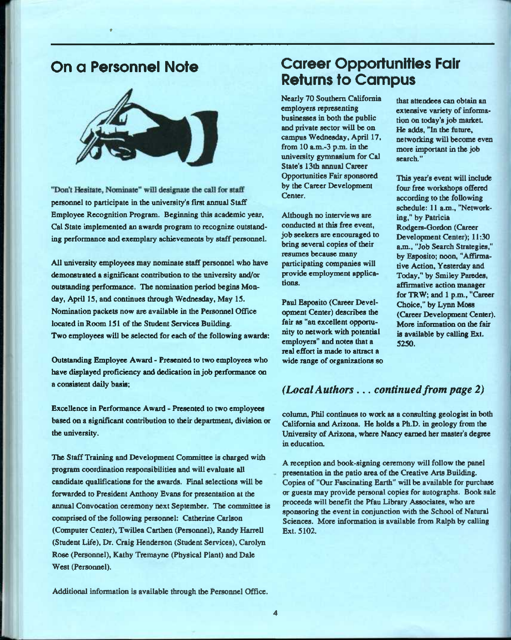# On a Personnel Note

\*



"Don't Hesitate, Nominate" will designate the call for staff personnel to participate in the university's first annual Staff Employee Recognition Program. Beginning this academic year, Cal State implemented an awards program to recognize outstanding performance and exemplary achievements by staff personnel.

All university employees may nominate staff personnel who have demonstrated a significant contribution to the university and/or outstanding performance. The nomination period begins Monday, April 15, and continues through Wednesday, May 15. Nomination packets now are available in the Personnel Office located in Room 151 of the Student Services Building. Two employees will be selected for each of the following awards:

Outstanding Employee Award - Presented to two employees who have displayed proficiency and dedication in job performance on a consistent daily basis;

Excellence in Performance Award - Presented to two employees based on a significant contribution to their department, division or the university.

The Staff Training and Development Committee is charged with program coordination responsibilities and will evaluate all candidate qualifications for the awards. Final selections will be forwarded to President Anthony Evans for presentation at the annual Convocation ceremony next September. The committee is comprised of the following personnel: Catherine Carlson (Computer Center), Twillea Carthen (Personnel), Randy Harrell (Student Life), Dr. Craig Henderson (Student Services), Carolyn Rose (Personnel), Kathy Tremayne (Physical Plant) and Dale West (Personnel).

# Career Opportunities Fair Returns to Campus

Nearly 70 Southern California employers representing businesses in both the public and private sector will be on campus Wednesday, April 17, from 10 a.m.-3 p.m. in the university gymnasium for Cal State's 13th annual Career Opportunities Fair sponsored by the Career Development Center.

Although no interviews are conducted at this free event, job seekers are encouraged to bring several copies of their resumes because many participating companies will provide employment applications.

Paul Esposito (Career Devel opment Center) describes the fair as "an excellent opportumty to network with potential employers" and notes that a real effort is made to attract a wide range of organizations so

that attendees can obtain an extensive variety of information on today's job market He adds, "In the future, networking will become even more important in the job search."

This year's event will include four free workshops offered according to the following schedule: 11 a.m., "Networking," by Patricia Rodgers-Oordon (Career Development Center); 11:30 a.m., "Job Search Strategies," by Esposito; noon, "Affirmative Action, Yesterday and Today," by Smiley Paredes, affirmative action manager for TRW; and 1 p.m., "Career Choice," by Lynn Moss (Career Development Center). More information on the fair is available by calling Ext. 5250.

## *(Local Authors... continued from page 2)*

column, Phil continues to work as a consulting geologist in both California and Arizona. He holds a Ph.D. in geology from the University of Arizona, where Nancy earned her master's degree in educatioa

A reception and book-signing ceremony will follow the panel presentation in the patio area of the Creative Arts Building. Copies of "Our Fascinating Earth" will be available for purchase or guests may provide personal copies for autographs. Book sale proceeds will benefit the Pfau Library Associates, who are sponsoring the event in conjunction with the School of Natural Sciences. More information is available from Ralph by calling Ext. 5102.

Additional information is available through the Personnel Office.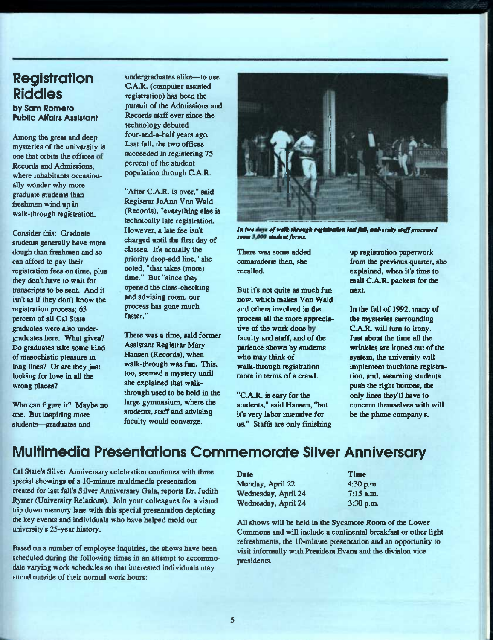# **Registration** Riddies

by Sam Romero Pubiic Affairs Assistant

Among the great and deep mysteries of the university is one that orbits the offices of Records and Admissions, where inhabitants occasionally wonder why more graduate students than freshmen wind up in walk-through registration.

Consider this: Graduate students generally have more dough than freshmen and so can afford to pay their registration fees on time, plus they don't have to wait for transcripts to be sent. And it isn't as if they don't know the registration process; 63 percent of all Cal State graduates were also undergraduates here. What gives? Do graduates take some kind of masochistic pleasure in long lines? Or are they just looking for love in all the wrong places?

Who can figure it? Maybe no one. But inspiring more students—graduates and

undergraduates alike—to use C.A.R. (computer-assisted registration) has been the pursuit of the Admissions and Records staff ever since the technology debuted four-and-a-half years ago. Last fall, the two offices succeeded in registering 75 percent of the student population through C.A.R.

"After C.A.R. is over," said Registrar JoAnn Von Wald (Records), "everything else is technically late registration. However, a late fee isn't charged until the first day of classes. It's actually the priority drop-add line," she noted, "that takes (more) time." But "since they opened the class-checking and advising room, our process has gone much faster."

There was a time, said former Assistant Registrar Mary Hansen (Records), when walk-through was fun. This, too, seemed a mystery until she explained that walkthrough used to be held in the large gymnasium, where the students, staff and advising faculty would converge.



In two days of walk-through rogistration last full, antivirally staff processed *tome Omdant forma.* 

There was some added camaraderie then, she recalled

But it's not quite as much fun now, which makes Von Wald and others involved in the process all the more appreciative of the work done by faculty and staff, and of the patience shown by students who may think of walk-through registration more in terms of a crawl.

"C.A.R. is easy for the students," said Hansen, "but it's very labor intensive for us." Staffis are only finishing

up registration paperwork from the previous quarter, she explained, when it's time to mail C.A.R. packets for the next

In the fall of 1992, many of the mysteries surrounding C.A.R. will turn to irony. Just about the time all the wrinkles are ironed out of the system, the university will implement touchtone registration, and, assuming students push the right buttons, the only lines they'll have to concern themselves with will be the phone company's.

# Multimedia Presentations Commemorate Siiver Anniversary

Cal State's Silver Anniversary celebration continues with three special showings of a 10-minute multimedia presentation created for last fall's Silver Anniversary Gala, repents Dr. Judith Rymer (University Relations). Join your colleagues for a visual trip down memory lane with this special presentation depicting the key events and individuals who have helped mold our university's 25-year history.

Based on a number of employee inquiries, the shows have been scheduled during the following times in an attempt to accommodate varying work schedules so that interested individuals may attend outside of their normal work hours:

Date Time

Monday, April 22 4:30 p.m. Wednesday, April 24 7:15 a.m. Wednesday, April 24 3:30 p.m.

All shows will be held in the Sycamore Room of the Lower Commons and will include a continental breakfast or other light refreshments, the 10-minute presentation and an opportunity to visit informally with President Evans and the division vice presidents.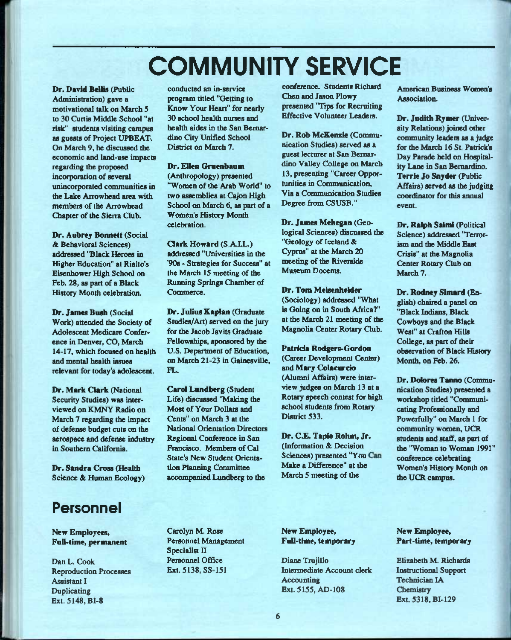# COMMUNITY SERVICE

Dr. David Bellis (Public Administration) gave a motivational talk on March 5 to 30 Curtis Middle School "at risk" students visiting campus as guests of Project UPBEAT. On March 9, he discussed the economic and land-use impacts regarding the proposed incorporation of several unincorporated communities in the Lake Arrowhead area with members of the Arrowhead (Chapter of the Sierra Qub.

**Dr. Aubrey Bonnett** (Social & Behavioral Sciences) addressed "Black Iferoes in Higher Education" at Rialto's Eisenhower High School on Feb. 28, as part of a Black History Month celebration.

**Dr. James Bush** (Social Work) attended the Society of Adolescent Medicare Conference in Denver, CO, March 14-17, which focused on health and mental health issues relevant for today's adolescent.

Dr. Mark Clark (National Security Studies) was interviewed on KMNY Radio on March 7 regarding the impact of defense budget cuts on the aerospace and defense industry in Southern California.

**Dr. Sandra Cross** (Ifealth Science & Human Ecology)

# Personnel

**New Employees, Full-time, permanent** 

Dan L. Cook Reproduction Processes Assistant I Duplicating Ext. 5148, BI-8

conducted an in-service program titled "Getting to Know Your Heart" for nearly 30 school healdi nurses and health aides in the San Bernardino City Unified School District on March 7.

**Dr. Ellen Grucnbaum**  (Anthropology) presented "Women of the Arab World" to two assemblies at Cajon High School on March 6, as part of a Women's History Month celelnation.

**Clark Howard** (S.A.LL.) addressed "Universities in the '908 - Strategies for Success" at the March 15 meeting of the Running Springs Chamber of Commerce.

**Dr. Julius Kaplan** (Graduate Studies/Art) served on the jury for the Jacob Javits Graduate Fellowships, sponsored by the U.S. Department of Education, oa March 21-23 in Gainesville, FL.

**Cared Lundberg** (Student Life) discussed "Making the Most of Your Dollars and Cents" on March 3 at the National Orientation Directors Regional Conference in San Francisco. Members of Cal State's New Student Orientation Planning Committee accompanied Lundberg to the

conference. Students Richard Chen and Jason Plowy presented "Hps for Recruiting Effective Volunteer Leaders.

**Dr. Rob McKcnzie** (Communication Studies) served as a guest lecturer at San Bernardino Valley College *oa* March 13, presenting "Career Opportunities in Communication, Via a Communication Studies Degree from CSUSB."

Dr. James Mehegan (Geological Sciences) discussed the "Geology of Iceland & Cyprus" at the March 20 meeting of the Riverside Museum Docents.

**Dr. Tom Meisenhelder** 

(Sociology) addressed "What is Going on in South Africa?" at the March 21 meeting of the Magnolia Center Rotary Club.

**Patricia Rodgers-Gordon**  (Career Development Center) and **Mary Colacurcio**  (Alumni Affairs) were interview judges on March 13 at a Rotary speech contest *for* high school students from Rotary District 533.

Dr. C.E. Tapie Rohm, Jr. (Information &. Decision Sciences) presented "You Can Make a Difference" at the March 5 meeting of the

American Business Women's Association.

**Dr. Jndith Rymer** (University Relations) joined other community leaders as a judge for the March 16 St. Patrick's Day Parade held on Hospitality Lane in San Bernardino. Terrie Jo Snyder (Public Affairs) served as the judging coordinator for this annual event.

Dr. Ralph Salmi (Political Science) addressed 'Terrorism and the Middle East Crisis" at the Magnolia Center Rotary Club on March 7.

**Dr. Rodney Slmard** (English) chaired a panel on "Black Indians, Black Cowboys and the Black West" at Crafton Hills College, as part of their observation of Black History Month, on Feb. 26.

Dr. Dolores Tanno (Communication Studies) presented a workshop titled "Communicating Professionally and Powerfully" on March 1 for community women, UCR students and staff, as part of the 'Woman to Woman 1991" conference celebrating Women's History Month on the UCR campus.

Carolyn M. Rose Personnel Management Specialist II Personnel Office Ext. 5138, SS-151

**New Employee, Full-time, temporary** 

Diane Trujillo Intermediate Account clerk **Accounting** Ext. 5155, AD-108

**New Employee, Part-time, temporary** 

Elizabeth M. Richards Instructional Support Technician **lA Chemistry** Ext. 5318,BI-129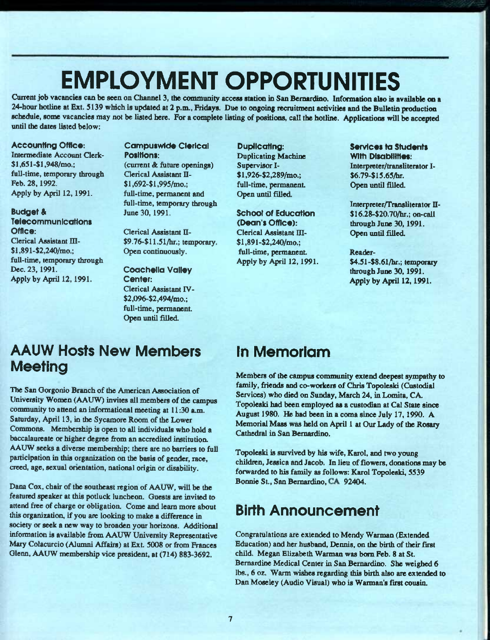# EMPLOYMENT OPPORTUNITIES

Current job vacancies can be seen on Channel 3, the community access station in San Bernardino. Information also is available on a 24-hour hotline at Ext. 5139 which is updated at 2 p.m., Fridays. Due to ongoing recruitment activities and the Bulletin production schedule, some vacancies may not be listed here. For a complete listing of positions, call the hotline. Applications will be accepted until the dates listed below:

### Accounting Office:

Intermediate Account Clerk-Si ,651-\$1,948/mo.; full-time, temporary through Feb. 28,1992. Apply by April 12, 1991.

### Budget & **Telecommunications**

Office: Clerical Assistant m- \$l,891-\$2,240/mo.: full-time, temporary through Dec. 23,1991. Apply by April 12, 1991.

Campuswide Clerical Positions: (current & future openings) Clerical Assistant II-\$l,692-\$l,995/mo.; full-time, permanent and full-time, temporary through June 30,1991.

Clerical Assistant II-\$9.76-\$11.51/hr.; temporary. Open continuously.

Coachella Valley Center: Clerical Assistant IV- \$2,096-\$2,494/mo.: full-time, permanent. Open until filled.

Duplicating: Duplicating Machine Supervisor I- \$l,926-\$2,289/mo.; full-time, permanent Open until filled.

**School of Education** (Dean's Office): Clerical Assistant III-\$l,891-\$2,240/mo.; full-time, permanent Apply by April 12,1991.

### Services to Students With Disabilities: Interpreter/transliterator I-

\$6.79-\$15.65/hr. Open until filled.

Interpreter/Transliterator II-\$16.28-\$20.70/hr.; on-call through June 30,1991. Open until filled.

#### Reader-

\$4.51-\$8.61/hr.; temporary through June 30.1991. Apply by April 12.1991.

# AAUW Hosts New Members **Meeting**

The San Oorgonio Branch of the American Association of University Women (AAUW) invites all members of the campus community to attend an informational meeting at 11:30 a.m. Saturday, April 13, in die Sycamore Room of the Lower Commons. Membership is open to all individuals who hold a baccalaureate or higher degree from an accredited institution. AAUW seeks a diverse membership; there are no barriers to full participation in this organization on the basis of gender, race, creed, age, sexual orientation, national origin or disability.

Dana Cox, chair of the southeast region of AAUW, will be the featured speaker at this potluck luncheon. Guests are invited to attend free of charge or obligation. Come and learn more about this organization, if you are looking to make a difference in society or seek a new way to broaden your horizons. Additional information is available from AAUW University Representative Mary Colacurcio (Alumni Affairs) at Ext. 5008 or from Frances Glenn, AAUW membership vice president, at (714) 883-3692.

# In Memorlam

Members of the campus community extend deepest sympathy to family, friends and co-workers of Chris Topoleski (Custodial Services) who died on Sunday, March 24, in Lomita, CA. Topoleski had been employed as a custodian at Cal State since August 1980. He had been in a coma since July 17, 1990. A Memorial Mass was held on April 1 at Our Lady of the Rosary Cathedral in San Bernardino.

Topoleski is survived by his wife, Karol, and two young children, Jessica and Jacob. In lieu of flowers, donations may be forwarded to his family as follows: Karol Topoleski, 5539 Bonnie St., San Bernardino, CA 92404.

# Birth Announcement

Congratulations are extended to Mendy Warman (Extended Education) and her husband, Dennis, on the birth *of* their Erst child^ Megan Elizabeth Warman was bom Feb. 8 at St. Bemardine Medical Center in San Bernardino. She weighed 6 lbs., 6 oz. Warm wishes regarding this birth also are extended to Dan Moseley (Audio Visual) who is Warman's first cousin.